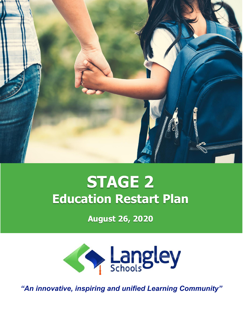

# **STAGE 2 Education Restart Plan**

**August 26, 2020**



*"An innovative, inspiring and unified Learning Community"*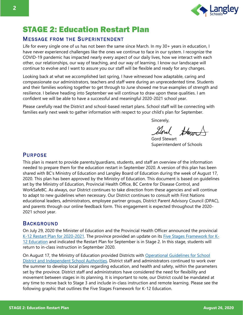

# STAGE 2: Education Restart Plan

#### **MESSAGE FROM THE SUPERINTENDENT**

Life for every single one of us has not been the same since March. In my 30+ years in education, I have never experienced challenges like the ones we continue to face in our system. I recognize the COVID-19 pandemic has impacted nearly every aspect of our daily lives, how we interact with each other, our relationships, our way of teaching, and our way of learning. I know our landscape will continue to evolve and I want to assure you our staff will be flexible and ready for any changes.

Looking back at what we accomplished last spring, I have witnessed how adaptable, caring and compassionate our administrators, teachers and staff were during an unprecedented time. Students and their families working together to get through to June showed me true examples of strength and resilience. I believe heading into September we will continue to draw upon these qualities. I am confident we will be able to have a successful and meaningful 2020-2021 school year.

Please carefully read the District and school-based restart plans. School staff will be connecting with families early next week to gather information with respect to your child's plan for September.

Sincerely,

Good Hann

Gord Stewart Superintendent of Schools

#### **PURPOSE**

This plan is meant to provide parents/guardians, students, and staff an overview of the information needed to prepare them for the education restart in September 2020. A version of this plan has been shared with BC's Ministry of Education and Langley Board of Education during the week of August 17, 2020. This plan has been approved by the Ministry of Education. This document is based on guidelines set by the Ministry of Education, Provincial Health Office, BC Centre for Disease Control, and WorkSafeBC. As always, our District continues to take direction from these agencies and will continue to adapt to new guidelines when necessary. Our District continues to consult with First Nations educational leaders, administrators, employee partner groups, District Parent Advisory Council (DPAC), and parents through our online feedback form. This engagement is expected throughout the 2020- 2021 school year.

#### **BACKGROUND**

On July 29, 2020 the Minister of Education and the Provincial Health Officer announced the provincial [K-12 Restart Plan for 2020-2021.](https://www.sd35.bc.ca/wp-content/uploads/sites/2/2020/07/2020EDUC0040-0014153.pdf) The province provided an update on its [Five Stages Framework for K-](https://www2.gov.bc.ca/gov/content/education-training/k-12/covid-19-return-to-school/five-stages-framework)[12 Education](https://www2.gov.bc.ca/gov/content/education-training/k-12/covid-19-return-to-school/five-stages-framework) and indicated the Restart Plan for September is in Stage 2. In this stage, students will return to in-class instruction in September 2020.

On August 17, the Ministry of Education provided Districts with [Operational Guidelines for School](https://www.sd35.bc.ca/wp-content/uploads/sites/2/2020/08/COVID19_OperationalGuidelnesK12_08172020.pdf)  [District and Independent School Authorities.](https://www.sd35.bc.ca/wp-content/uploads/sites/2/2020/08/COVID19_OperationalGuidelnesK12_08172020.pdf) District staff and administrators continued to work over the summer to develop local plans regarding education, and health and safety, within the parameters set by the province. District staff and administrators have considered the need for flexibility and movement between stages in its planning. It is important to note, our District could be mandated at any time to move back to Stage 3 and include in-class instruction and remote learning. Please see the following graphic that outlines the Five Stages Framework for K-12 Education.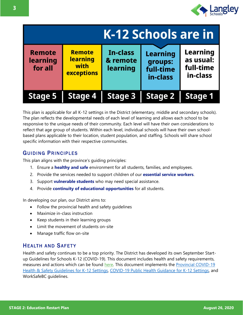

| K-12 Schools are in                  |                                                               |                                  |                                                     |                                                       |  |  |  |
|--------------------------------------|---------------------------------------------------------------|----------------------------------|-----------------------------------------------------|-------------------------------------------------------|--|--|--|
| <b>Remote</b><br>learning<br>for all | <b>Remote</b><br><b>learning</b><br>with<br><b>exceptions</b> | In-class<br>& remote<br>learning | <b>Learning</b><br>groups:<br>full-time<br>in-class | <b>Learning</b><br>as usual:<br>full-time<br>in-class |  |  |  |
| <b>Stage 5</b>                       | <b>Stage 4</b>                                                | <b>Stage 3</b>                   | <b>Stage 2</b>                                      | <b>Stage 1</b>                                        |  |  |  |

This plan is applicable for all K-12 settings in the District (elementary, middle and secondary schools). The plan reflects the developmental needs of each level of learning and allows each school to be responsive to the unique needs of their community. Each level will have their own considerations to reflect that age group of students. Within each level, individual schools will have their own schoolbased plans applicable to their location, student population, and staffing. Schools will share school specific information with their respective communities.

#### **GUIDING PRINCIPLES**

This plan aligns with the province's guiding principles:

- 1. Ensure a **healthy and safe** environment for all students, families, and employees.
- 2. Provide the services needed to support children of our **essential service workers**.
- 3. Support **vulnerable students** who may need special assistance.
- 4. Provide **continuity of educational opportunities** for all students.

In developing our plan, our District aims to:

- Follow the provincial health and safety guidelines
- Maximize in-class instruction
- Keep students in their learning groups
- Limit the movement of students on-site
- Manage traffic flow on-site

#### **HEALTH AND SAFETY**

Health and safety continues to be a top priority. The District has developed its own September Startup Guidelines for Schools K-12 (COVID-19). This document includes health and safety requirements, measures and actions which can be found [here.](https://www.sd35.bc.ca/wp-content/uploads/sites/2/2020/08/September-Start-Up-Guidelines-for-Schools-K-12-COVID-19-2020Aug26.pdf) This document implements the [Provincial COVID-19](https://www.sd35.bc.ca/wp-content/uploads/sites/2/2020/08/k-12-covid-19-health-safety-guidlines.pdf)  [Health & Safety Guidelines for K-12 Settings,](https://www.sd35.bc.ca/wp-content/uploads/sites/2/2020/08/k-12-covid-19-health-safety-guidlines.pdf) [COVID-19 Public Health Guidance for K-12 Settings,](http://www.bccdc.ca/Health-Info-Site/Documents/COVID_public_guidance/Guidance-k-12-schools.pdf) and WorkSafeBC guidelines.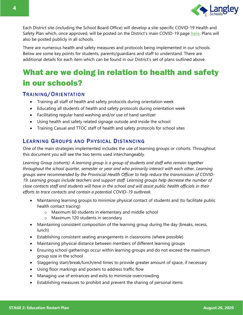

Each District site (including the School Board Office) will develop a site-specific COVID-19 Health and Safety Plan which, once approved, will be posted on the District's main COVID-19 page [here.](https://www.sd35.bc.ca/news-events/district-board-news/ministry-updates-on-novel-coronavirus-covid-19/) Plans will also be posted publicly in all schools.

There are numerous health and safety measures and protocols being implemented in our schools. Below are some key points for students, parents/guardians and staff to understand. There are additional details for each item which can be found in our District's set of plans outlined above.

# What are we doing in relation to health and safety in our schools?

#### TRAINING/ORIENTATION

- Training all staff of health and safety protocols during orientation week
- Educating all students of health and safety protocols during orientation week
- Facilitating regular hand washing and/or use of hand sanitizer
- Using health and safety related signage outside and inside the school
- Training Casual and TTOC staff of health and safety protocols for school sites

#### LEARNING GROUPS AND PHYSICAL DISTANCING

One of the main strategies implemented includes the use of learning groups or cohorts. Throughout this document you will see the two terms used interchangeably.

*Learning Group (cohorts): A learning group is a group of students and staff who remain together throughout the school quarter, semester or year and who primarily interact with each other. Learning groups were recommended by the Provincial Health Officer to help reduce the transmission of COVID-19. Learning groups include teachers and support staff. Learning groups help decrease the number of close contacts staff and students will have in the school and will assist public health officials in their efforts to trace contacts and contain a potential COVID-19 outbreak.*

- Maintaining learning groups to minimize physical contact of students and (to facilitate public health contact tracing)
	- o Maximum 60 students in elementary and middle school
	- o Maximum 120 students in secondary
- Maintaining consistent composition of the learning group during the day (breaks, recess, lunch)
- Establishing consistent seating arrangements in classrooms (where possible)
- Maintaining physical distance between members of different learning groups
- Ensuring school gatherings occur within learning groups and do not exceed the maximum group size in the school
- Staggering start/break/lunch/end times to provide greater amount of space, if necessary
- Using floor markings and posters to address traffic flow
- Managing use of entrances and exits to minimize overcrowding
- Establishing measures to prohibit and prevent the sharing of personal items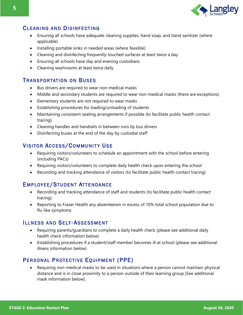

#### **CLEANING AND DISINFECTING**

- Ensuring all schools have adequate cleaning supplies, hand soap, and hand sanitizer (where applicable)
- Installing portable sinks in needed areas (where feasible)
- Cleaning and disinfecting frequently touched surfaces at least twice a day
- Ensuring all schools have day and evening custodians
- Cleaning washrooms at least twice daily

#### **TRANSPORTATION ON BUSES**

- Bus drivers are required to wear non-medical masks
- Middle and secondary students are required to wear non-medical masks (there are exceptions)
- Elementary students are not required to wear masks
- Establishing procedures for loading/unloading of students
- Maintaining consistent seating arrangements if possible (to facilitate public health contact tracing)
- Cleaning handles and handrails in between runs by bus drivers
- Disinfecting buses at the end of the day by custodial staff

#### **VISITOR ACCESS/COMMUNITY USE**

- Requiring visitors/volunteers to schedule an appointment with the school before entering (including PACs)
- Requiring visitors/volunteers to complete daily health check upon entering the school
- Recording and tracking attendance of visitors (to facilitate public health contact tracing)

#### EMPLOYEE/STUDENT ATTENDANCE

- Recording and tracking attendance of staff and students (to facilitate public health contact tracing)
- Reporting to Fraser Health any absenteeism in excess of 10% total school population due to flu-like symptoms

#### **ILLNESS AND SELF-ASSESSMENT**

- Requiring parents/guardians to complete a daily health check (please see additional daily health check information below)
- Establishing procedures if a student/staff member becomes ill at school (please see additional illness information below)

#### PERSONAL PROTECTIVE EQUIPMENT (PPE)

• Requiring non-medical masks to be used in situations where a person cannot maintain physical distance and is in close proximity to a person outside of their learning group [See additional mask information below].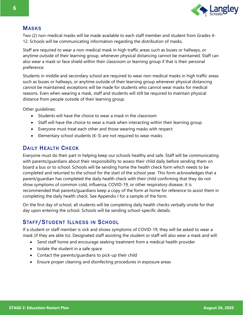

#### **MASKS**

Two (2) non-medical masks will be made available to each staff member and student from Grades 4- 12. Schools will be communicating information regarding the distribution of masks.

Staff are required to wear a non-medical mask in high traffic areas such as buses or hallways, or anytime outside of their learning group, whenever physical distancing cannot be maintained. Staff can also wear a mask or face shield within their classroom or learning group if that is their personal preference.

Students in middle and secondary school are required to wear non-medical masks in high traffic areas such as buses or hallways, or anytime outside of their learning group whenever physical distancing cannot be maintained; exceptions will be made for students who cannot wear masks for medical reasons. Even when wearing a mask, staff and students will still be required to maintain physical distance from people outside of their learning group.

Other guidelines:

- Students will have the choice to wear a mask in the classroom
- Staff will have the choice to wear a mask when interacting within their learning group
- Everyone must treat each other and those wearing masks with respect
- Elementary school students (K-3) are not required to wear masks

#### DAILY HEALTH CHECK

Everyone must do their part in helping keep our schools healthy and safe. Staff will be communicating with parents/guardians about their responsibility to assess their child daily before sending them on board a bus or to school. Schools will be sending home the health check form which needs to be completed and returned to the school for the start of the school year. This form acknowledges that a parent/guardian has completed the daily health check with their child confirming that they do not show symptoms of common cold, influenza, COVID-19, or other respiratory disease. It is recommended that parents/guardians keep a copy of the form at home for reference to assist them in completing the daily health check. See Appendix I for a sample of the form.

On the first day of school, all students will be completing daily health checks verbally onsite for that day upon entering the school. Schools will be sending school-specific details.

#### STAFF/STUDENT ILLNESS IN SCHOOL

If a student or staff member is sick and shows symptoms of COVID-19, they will be asked to wear a mask (if they are able to). Designated staff assisting the student or staff will also wear a mask and will:

- Send staff home and encourage seeking treatment from a medical health provider
- Isolate the student in a safe space
- Contact the parents/guardians to pick-up their child
- Ensure proper cleaning and disinfecting procedures in exposure areas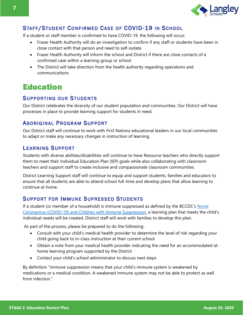

#### STAFF/STUDENT CONFIRMED CASE OF COVID-19 IN SCHOOL

If a student or staff member is confirmed to have COVID-19, the following will occur:

- Fraser Health Authority will do an investigation to confirm if any staff or students have been in close contact with that person and need to self-isolate
- Fraser Health Authority will inform the school and District if there are close contacts of a confirmed case within a learning group or school
- The District will take direction from the health authority regarding operations and communications

## Education

#### SUPPORTING OUR STUDENTS

Our District celebrates the diversity of our student population and communities. Our District will have processes in place to provide learning support for students in need.

#### ABORIGINAL PROGRAM SUPPORT

Our District staff will continue to work with First Nations educational leaders in our local communities to adapt or make any necessary changes in instruction of learning.

#### LEARNING SUPPORT

Students with diverse abilities/disabilities will continue to have Resource teachers who directly support them to meet their Individual Education Plan (IEP) goals while also collaborating with classroom teachers and support staff to create inclusive and compassionate classroom communities.

District Learning Support staff will continue to equip and support students, families and educators to ensure that all students are able to attend school full-time and develop plans that allow learning to continue at home.

#### SUPPORT FOR IMMUNE SUPRESSED STUDENTS

If a student (or member of a household) is immune suppressed as defined by the BCCDC's [Novel](http://www.bccdc.ca/Health-Info-Site/Documents/COVID-19-IS-Children-FAQ-BCCH.pdf)  [Coronavirus \(COVID-19\) and Children with Immune Suppression,](http://www.bccdc.ca/Health-Info-Site/Documents/COVID-19-IS-Children-FAQ-BCCH.pdf) a learning plan that meets the child's individual needs will be created. District staff will work with families to develop this plan.

As part of the process, please be prepared to do the following:

- Consult with your child's medical health provider to determine the level of risk regarding your child going back to in-class instruction at their current school
- Obtain a note from your medical health provider indicating the need for an accommodated athome learning program supported by the District
- Contact your child's school administrator to discuss next steps

By definition "immune suppression means that your child's immune system is weakened by medications or a medical condition. A weakened immune system may not be able to protect as well from infection."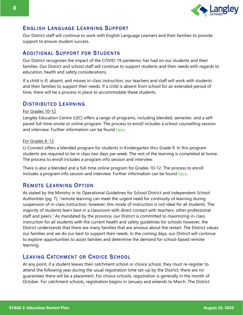

#### ENGLISH LANGUAGE LEARNING SUPPORT

Our District staff will continue to work with English Language Learners and their families to provide support to ensure student success.

#### **ADDITIONAL SUPPORT FOR STUDENTS**

Our District recognizes the impact of the COVID-19 pandemic has had on our students and their families. Our District and school staff will continue to support students and their needs with regards to education, health and safety considerations.

If a child is ill, absent, and misses in-class instruction, our teachers and staff will work with students and their families to support their needs. If a child is absent from school for an extended period of time, there will be a process in place to accommodate these students.

#### DISTRIBUTED LEARNING

#### For Grades 10-12

Langley Education Centre (LEC) offers a range of programs, including blended, semester, and a selfpaced full-time onsite or online program. The process to enroll includes a school counselling session and interview. Further information can be found [here.](https://lec.sd35.bc.ca/)

#### For Grades K-12

U-Connect offers a blended program for students in Kindergarten thru Grade 9. In this program students are required to be in class two days per week. The rest of the learning is completed at home. The process to enroll includes a program info session and interview.

There is also a blended and a full-time online program for Grades 10-12. The process to enroll includes a program info session and interview. Further information can be found [here.](https://simonds-uconnect.sd35.bc.ca/)

#### REMOTE LEARNING OPTION

As stated by the Ministry in its Operational Guidelines for School District and Independent School Authorities (pg. 7), "remote learning can meet the urgent need for continuity of learning during suspension of in-class instruction; however, this mode of instruction is not ideal for all students. The majority of students learn best in a classroom with direct contact with teachers, other professional staff and peers." As mandated by the province, our District is committed to maximizing in-class instruction for all students with the current health and safety guidelines for schools however, the District understands that there are many families that are anxious about the restart. The District values our families and we do our best to support their needs. In the coming days, our District will continue to explore opportunities to assist families and determine the demand for school-based remote learning.

#### LEAVING CATCHMENT OR CHOICE SCHOOL

At any point, if a student leaves their catchment school or choice school, they must re-register to attend the following year during the usual registration time set-up by the District; there are no guarantees there will be a placement. For choice schools, registration is generally in the month of October. For catchment schools, registration begins in January and extends to March. The District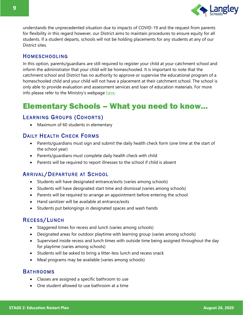

understands the unprecedented situation due to impacts of COVID-19 and the request from parents for flexibility in this regard however, our District aims to maintain procedures to ensure equity for all students. If a student departs, schools will not be holding placements for any students at any of our District sites.

#### **HOMESCHOOLING**

In this option, parents/guardians are still required to register your child at your catchment school and inform the administrator that your child will be homeschooled. It is important to note that the catchment school and District has no authority to approve or supervise the educational program of a homeschooled child and your child will not have a placement at their catchment school. The school is only able to provide evaluation and assessment services and loan of education materials. For more info please refer to the Ministry's webpage [here.](https://www2.gov.bc.ca/gov/content/education-training/k-12/support/classroom-alternatives/homeschooling)

# Elementary Schools – What you need to know…

#### LEARNING GROUPS (COHORTS)

• Maximum of 60 students in elementary

#### DAILY HEALTH CHECK FORMS

- Parents/guardians must sign and submit the daily health check form (one time at the start of the school year)
- Parents/guardians must complete daily health check with child
- Parents will be required to report illnesses to the school if child is absent

#### ARRIVAL/DEPARTURE AT SCHOOL

- Students will have designated entrance/exits (varies among schools)
- Students will have designated start time and dismissal (varies among schools)
- Parents will be required to arrange an appointment before entering the school
- Hand sanitizer will be available at entrance/exits
- Students put belongings in designated spaces and wash hands

#### RECESS/LUNCH

- Staggered times for recess and lunch (varies among schools)
- Designated areas for outdoor playtime with learning group (varies among schools)
- Supervised inside recess and lunch times with outside time being assigned throughout the day for playtime (varies among schools)
- Students will be asked to bring a litter-less lunch and recess snack
- Meal programs may be available (varies among schools)

#### **BATHROOMS**

- Classes are assigned a specific bathroom to use
- One student allowed to use bathroom at a time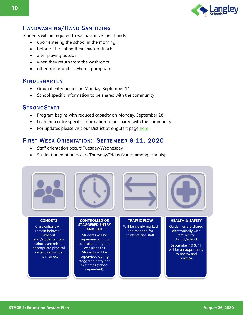

#### HANDWASHING/HAND SANITIZING

Students will be required to wash/sanitize their hands:

- upon entering the school in the morning
- before/after eating their snack or lunch
- after playing outside
- when they return from the washroom
- other opportunities where appropriate

#### **KINDERGARTEN**

- Gradual entry begins on Monday, September 14
- School specific information to be shared with the community

#### **STRONGSTART**

- Program begins with reduced capacity on Monday, September 28
- Learning centre specific information to be shared with the community
- For updates please visit our District StrongStart page [here](https://www.sd35.bc.ca/programs-initiatives/early-learning-birth-5-yrs/strongstart/)

#### FIRST WEEK ORIENTATION: SEPTEMBER 8-11, 2020

- Staff orientation occurs Tuesday/Wednesday
- Student orientation occurs Thursday/Friday (varies among schools)

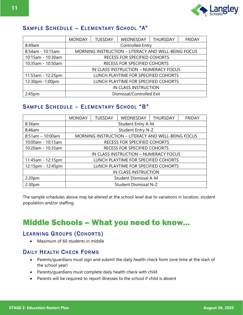

#### SAMPLE SCHEDULE - ELEMENTARY SCHOOL "A"

|                    | <b>MONDAY</b>                        | <b>TUESDAY</b>                                      | WEDNESDAY                           | <b>THURSDAY</b> | <b>FRIDAY</b> |  |  |  |  |
|--------------------|--------------------------------------|-----------------------------------------------------|-------------------------------------|-----------------|---------------|--|--|--|--|
| 8:49am             | Controlled Entry                     |                                                     |                                     |                 |               |  |  |  |  |
| 8:54am - 10:15am   |                                      | MORNING INSTRUCTION - LITERACY AND WELL-BEING FOCUS |                                     |                 |               |  |  |  |  |
| 10:15am - 10:30am  |                                      |                                                     | <b>RECESS FOR SPECIFIED COHORTS</b> |                 |               |  |  |  |  |
| 10:35am - 10:50am  |                                      |                                                     | <b>RECESS FOR SPECIFIED COHORTS</b> |                 |               |  |  |  |  |
|                    |                                      | IN CLASS INSTRUCTION - NUMERACY FOCUS               |                                     |                 |               |  |  |  |  |
| 11:55am - 12:25pm  | LUNCH PLAYTIME FOR SPECIFIED COHORTS |                                                     |                                     |                 |               |  |  |  |  |
| 12:30pm -1:00pm    | LUNCH PLAYTIME FOR SPECIFIED COHORTS |                                                     |                                     |                 |               |  |  |  |  |
|                    |                                      | IN CLASS INSTRUCTION                                |                                     |                 |               |  |  |  |  |
| 2:45 <sub>pm</sub> | Dismissal/Controlled Exit            |                                                     |                                     |                 |               |  |  |  |  |

#### SAMPLE SCHEDULE - ELEMENTARY SCHOOL "B"

|                    | <b>MONDAY</b>                | <b>TUESDAY</b>                        | WEDNESDAY                                           | <b>THURSDAY</b> | <b>FRIDAY</b> |  |  |  |  |
|--------------------|------------------------------|---------------------------------------|-----------------------------------------------------|-----------------|---------------|--|--|--|--|
| 8:36am             | <b>Student Entry A-M</b>     |                                       |                                                     |                 |               |  |  |  |  |
| 8:46am             |                              | Student Entry N-Z                     |                                                     |                 |               |  |  |  |  |
| $8:51am - 10:00am$ |                              |                                       | MORNING INSTRUCTION - LITERACY AND WELL-BEING FOCUS |                 |               |  |  |  |  |
| 10:00am - 10:15am  |                              |                                       | <b>RECESS FOR SPECIFIED COHORTS</b>                 |                 |               |  |  |  |  |
| 10:20am - 10:35am  |                              |                                       | <b>RECESS FOR SPECIFIED COHORTS</b>                 |                 |               |  |  |  |  |
|                    |                              | IN CLASS INSTRUCTION - NUMERACY FOCUS |                                                     |                 |               |  |  |  |  |
| 11:45am - 12:15pm  |                              | LUNCH PLAYTIME FOR SPECIFIED COHORTS  |                                                     |                 |               |  |  |  |  |
| 12:15pm - 12:45pm  |                              | LUNCH PLAYTIME FOR SPECIFIED COHORTS  |                                                     |                 |               |  |  |  |  |
|                    | IN CLASS INSTRUCTION         |                                       |                                                     |                 |               |  |  |  |  |
| 2:20 <sub>pm</sub> | <b>Student Dismissal A-M</b> |                                       |                                                     |                 |               |  |  |  |  |
| 2:30 <sub>pm</sub> |                              |                                       | <b>Student Dismissal N-Z</b>                        |                 |               |  |  |  |  |

The sample schedules above may be altered at the school level due to variations in location, student population and/or staffing.

### Middle Schools – What you need to know…

#### LEARNING GROUPS (COHORTS)

• Maximum of 60 students in middle

#### DAILY HEALTH CHECK FORMS

- Parents/guardians must sign and submit the daily health check form (one time at the start of the school year)
- Parents/guardians must complete daily health check with child
- Parents will be required to report illnesses to the school if child is absent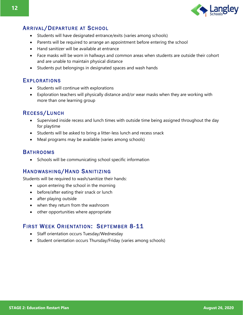

#### **ARRIVAL/DEPARTURE AT SCHOOL**

- Students will have designated entrance/exits (varies among schools)
- Parents will be required to arrange an appointment before entering the school
- Hand sanitizer will be available at entrance
- Face masks will be worn in hallways and common areas when students are outside their cohort and are unable to maintain physical distance
- Students put belongings in designated spaces and wash hands

#### **EXPLORATIONS**

- Students will continue with explorations
- Exploration teachers will physically distance and/or wear masks when they are working with more than one learning group

#### RECESS/LUNCH

- Supervised inside recess and lunch times with outside time being assigned throughout the day for playtime
- Students will be asked to bring a litter-less lunch and recess snack
- Meal programs may be available (varies among schools)

#### **BATHROOMS**

• Schools will be communicating school specific information

#### HANDWASHING/HAND SANITIZING

Students will be required to wash/sanitize their hands:

- upon entering the school in the morning
- before/after eating their snack or lunch
- after playing outside
- when they return from the washroom
- other opportunities where appropriate

#### FIRST WEEK ORIENTATION: SEPTEMBER 8-11

- Staff orientation occurs Tuesday/Wednesday
- Student orientation occurs Thursday/Friday (varies among schools)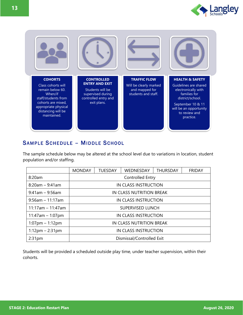



#### SAMPLE SCHEDULE - MIDDLE SCHOOL

The sample schedule below may be altered at the school level due to variations in location, student population and/or staffing.

|                      | <b>MONDAY</b>               | <b>TUESDAY</b>              | <b>WEDNESDAY</b> | <b>THURSDAY</b> | <b>FRIDAY</b> |  |  |  |  |
|----------------------|-----------------------------|-----------------------------|------------------|-----------------|---------------|--|--|--|--|
| 8:20am               | Controlled Entry            |                             |                  |                 |               |  |  |  |  |
| $8:20am - 9:41am$    |                             | <b>IN CLASS INSTRUCTION</b> |                  |                 |               |  |  |  |  |
| $9:41$ am - 9:56am   |                             | IN CLASS NUTRITION BREAK    |                  |                 |               |  |  |  |  |
| $9:56$ am - 11:17am  | IN CLASS INSTRUCTION        |                             |                  |                 |               |  |  |  |  |
| $11:17$ am - 11:47am | <b>SUPERVISED LUNCH</b>     |                             |                  |                 |               |  |  |  |  |
| $11:47am - 1:07pm$   | <b>IN CLASS INSTRUCTION</b> |                             |                  |                 |               |  |  |  |  |
| $1:07$ pm – 1:12pm   | IN CLASS NUTRITION BREAK    |                             |                  |                 |               |  |  |  |  |
| $1:12$ pm – 2:31pm   | <b>IN CLASS INSTRUCTION</b> |                             |                  |                 |               |  |  |  |  |
| 2:31 <sub>pm</sub>   | Dismissal/Controlled Exit   |                             |                  |                 |               |  |  |  |  |

Students will be provided a scheduled outside play time, under teacher supervision, within their cohorts.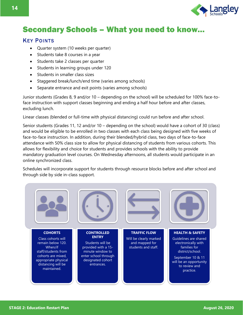

# Secondary Schools – What you need to know…

#### **KEY POINTS**

- Quarter system (10 weeks per quarter)
- Students take 8 courses in a year
- Students take 2 classes per quarter
- Students in learning groups under 120
- Students in smaller class sizes
- Staggered break/lunch/end time (varies among schools)
- Separate entrance and exit points (varies among schools)

Junior students (Grades 8, 9 and/or 10 – depending on the school) will be scheduled for 100% face-toface instruction with support classes beginning and ending a half hour before and after classes, excluding lunch.

Linear classes (blended or full-time with physical distancing) could run before and after school.

Senior students (Grades 11, 12 and/or 10 – depending on the school) would have a cohort of 30 (class) and would be eligible to be enrolled in two classes with each class being designed with five weeks of face-to-face instruction. In addition, during their blended/hybrid class, two days of face-to-face attendance with 50% class size to allow for physical distancing of students from various cohorts. This allows for flexibility and choice for students and provides schools with the ability to provide mandatory graduation level courses. On Wednesday afternoons, all students would participate in an online synchronized class.

Schedules will incorporate support for students through resource blocks before and after school and through side by side in-class support.

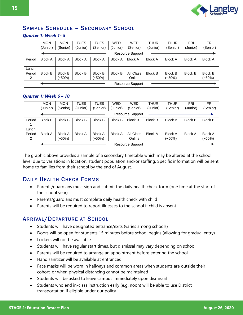

#### SAMPLE SCHEDULE - SECONDARY SCHOOL

#### *Quarter 1: Week 1- 5*

|        | <b>MON</b>     | <b>MON</b>     | <b>TUES</b>    | <b>TUES</b>    | <b>WED</b>     | <b>WED</b>              | <b>THUR</b>    | <b>THUR</b>    | <b>FRI</b>     | <b>FRI</b>     |
|--------|----------------|----------------|----------------|----------------|----------------|-------------------------|----------------|----------------|----------------|----------------|
|        | (Junior)       | (Senior)       | (Junior)       | (Senior)       | (Junior)       | (Senior)                | (Junior)       | (Senior)       | Junior)        | (Senior)       |
|        |                |                |                |                |                | <b>Resource Support</b> |                |                |                |                |
| Period | <b>Block A</b> | <b>Block A</b> | <b>Block A</b> | <b>Block A</b> | <b>Block A</b> | <b>Block A</b>          | <b>Block A</b> | <b>Block A</b> | <b>Block A</b> | <b>Block A</b> |
|        |                |                |                |                |                |                         |                |                |                |                |
| Lunch  |                |                |                |                |                |                         |                |                |                |                |
| Period | <b>Block B</b> | <b>Block B</b> | <b>Block B</b> | <b>Block B</b> | <b>Block B</b> | All Class               | <b>Block B</b> | <b>Block B</b> | <b>Block B</b> | <b>Block B</b> |
| 2      |                | (~50%)         |                | (~50%)         |                | Online                  |                | (~50%)         |                | (~50%)         |
|        |                |                |                |                |                | <b>Resource Support</b> |                |                |                |                |

#### *Quarter 1: Week 6 – 10*

|             | <b>MON</b>     | <b>MON</b>               | <b>TUES</b>    | <b>TUES</b>              | <b>WED</b>     | <b>WED</b>              | THUR           | <b>THUR</b>                | <b>FRI</b>     | <b>FRI</b>                 |
|-------------|----------------|--------------------------|----------------|--------------------------|----------------|-------------------------|----------------|----------------------------|----------------|----------------------------|
|             | (Junior)       | (Senior)                 | (Junior)       | (Senior)                 | (Junior)       | (Senior)                | (Junior)       | (Senior)                   | (Junior)       | (Senior)                   |
|             |                |                          |                |                          |                | <b>Resource Support</b> |                |                            |                |                            |
| Period      | <b>Block B</b> | <b>Block B</b>           | <b>Block B</b> | <b>Block B</b>           | <b>Block B</b> | <b>Block B</b>          | <b>Block B</b> | <b>Block B</b>             | <b>Block B</b> | <b>Block B</b>             |
| Lunch       |                |                          |                |                          |                |                         |                |                            |                |                            |
| Period<br>2 | <b>Block A</b> | <b>Block A</b><br>(~50%) | <b>Block A</b> | <b>Block A</b><br>(~50%) | <b>Block A</b> | All Class<br>Online     | <b>Block A</b> | <b>Block A</b><br>$(-50%)$ | <b>Block A</b> | <b>Block A</b><br>$(-50%)$ |
|             |                |                          |                |                          |                | <b>Resource Support</b> |                |                            |                |                            |

The graphic above provides a sample of a secondary timetable which may be altered at the school level due to variations in location, student population and/or staffing. Specific information will be sent home to families from their school by the end of August.

#### DAILY HEALTH CHECK FORMS

- Parents/guardians must sign and submit the daily health check form (one time at the start of the school year)
- Parents/guardians must complete daily health check with child
- Parents will be required to report illnesses to the school if child is absent

#### ARRIVAL/DEPARTURE AT SCHOOL

- Students will have designated entrance/exits (varies among schools)
- Doors will be open for students 15 minutes before school begins (allowing for gradual entry)
- Lockers will not be available
- Students will have regular start times, but dismissal may vary depending on school
- Parents will be required to arrange an appointment before entering the school
- Hand sanitizer will be available at entrances
- Face masks will be worn in hallways and common areas when students are outside their cohort, or when physical distancing cannot be maintained
- Students will be asked to leave campus immediately upon dismissal
- Students who end in-class instruction early (e.g. noon) will be able to use District transportation if eligible under our policy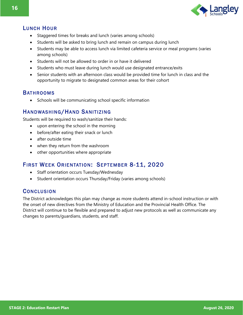

#### LUNCH HOUR

- Staggered times for breaks and lunch (varies among schools)
- Students will be asked to bring lunch and remain on campus during lunch
- Students may be able to access lunch via limited cafeteria service or meal programs (varies among schools)
- Students will not be allowed to order in or have it delivered
- Students who must leave during lunch would use designated entrance/exits
- Senior students with an afternoon class would be provided time for lunch in class and the opportunity to migrate to designated common areas for their cohort

#### **BATHROOMS**

• Schools will be communicating school specific information

#### HANDWASHING/HAND SANITIZING

Students will be required to wash/sanitize their hands:

- upon entering the school in the morning
- before/after eating their snack or lunch
- after outside time
- when they return from the washroom
- other opportunities where appropriate

#### FIRST WEEK ORIENTATION: SEPTEMBER 8-11, 2020

- Staff orientation occurs Tuesday/Wednesday
- Student orientation occurs Thursday/Friday (varies among schools)

#### **CONCLUSION**

The District acknowledges this plan may change as more students attend in-school instruction or with the onset of new directives from the Ministry of Education and the Provincial Health Office. The District will continue to be flexible and prepared to adjust new protocols as well as communicate any changes to parents/guardians, students, and staff.